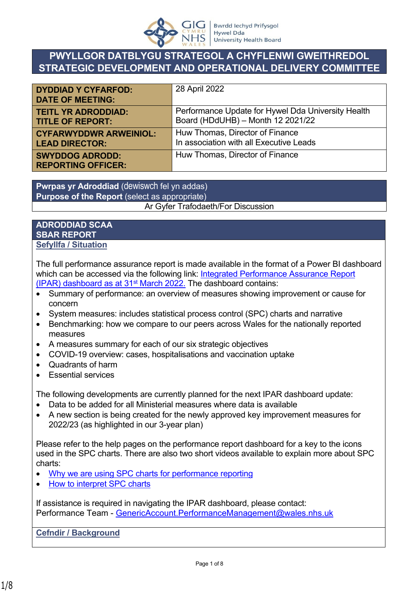

# **PWYLLGOR DATBLYGU STRATEGOL A CHYFLENWI GWEITHREDOL STRATEGIC DEVELOPMENT AND OPERATIONAL DELIVERY COMMITTEE**

| <b>DYDDIAD Y CYFARFOD:</b><br><b>DATE OF MEETING:</b> | 28 April 2022                                      |
|-------------------------------------------------------|----------------------------------------------------|
| <b>TEITL YR ADRODDIAD:</b>                            | Performance Update for Hywel Dda University Health |
| <b>TITLE OF REPORT:</b>                               | Board (HDdUHB) - Month 12 2021/22                  |
| <b>CYFARWYDDWR ARWEINIOL:</b>                         | Huw Thomas, Director of Finance                    |
| <b>LEAD DIRECTOR:</b>                                 | In association with all Executive Leads            |
| <b>SWYDDOG ADRODD:</b><br><b>REPORTING OFFICER:</b>   | Huw Thomas, Director of Finance                    |

**Pwrpas yr Adroddiad** (dewiswch fel yn addas) **Purpose of the Report** (select as appropriate) Ar Gyfer Trafodaeth/For Discussion

#### **ADRODDIAD SCAA SBAR REPORT Sefyllfa / Situation**

The full performance assurance report is made available in the format of a Power BI dashboard which can be accessed via the following link: Integrated Performance Assurance Report (IPAR) dashboard as at  $31<sup>st</sup>$  March 2022. The dashboard contains:

- Summary of performance: an overview of measures showing improvement or cause for concern
- System measures: includes statistical process control (SPC) charts and narrative
- Benchmarking: how we compare to our peers across Wales for the nationally reported measures
- A measures summary for each of our six strategic objectives
- COVID-19 overview: cases, hospitalisations and vaccination uptake
- Quadrants of harm
- Essential services

The following developments are currently planned for the next IPAR dashboard update:

- Data to be added for all Ministerial measures where data is available
- A new section is being created for the newly approved key improvement measures for 2022/23 (as highlighted in our 3-year plan)

Please refer to the help pages on the performance report dashboard for a key to the icons used in the SPC charts. There are also two short videos available to explain more about SPC charts:

- [Why we are using SPC charts for performance reporting](https://nhswales365.sharepoint.com/:v:/s/HDD_Performance_Reporting/EVrWg04boMRGq6n8BhnhP1gByPMHrVXyIvQF8LkaQ43djQ?e=VNVZlM)
- [How to interpret SPC charts](https://nhswales365.sharepoint.com/:v:/s/HDD_Performance_Reporting/EQ8GDAtcW69JmNR8KkqpXDkBGVIPRxUw26vV5Up5a_RglA?e=dkX2vT)

If assistance is required in navigating the IPAR dashboard, please contact: Performance Team - [GenericAccount.PerformanceManagement@wales.nhs.uk](mailto:GenericAccount.PerformanceManagement@wales.nhs.uk)

**Cefndir / Background**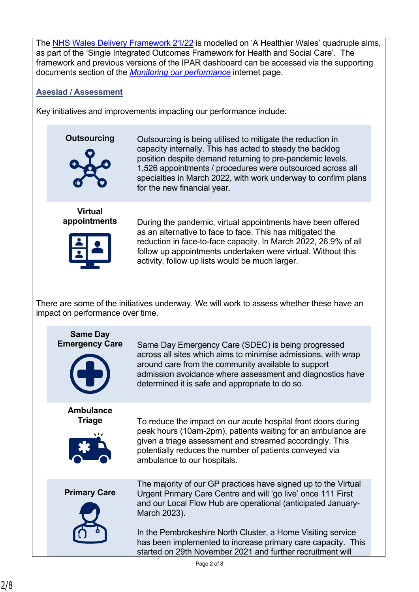The [NHS Wales Delivery Framework 21/22](https://hduhb.nhs.wales/about-us/performance-targets/performance-documents/2021-22-nhs-wales-delivery-framework-amp-guidance-pdf/) is modelled on 'A Healthier Wales' quadruple aims, as part of the 'Single Integrated Outcomes Framework for Health and Social Care'. The framework and previous versions of the IPAR dashboard can be accessed via the supporting documents section of the *[Monitoring our performance](https://hduhb.nhs.wales/about-us/performance-targets/our-performance-areas/monitoring-our-performance/)* internet page.

#### **Asesiad / Assessment**

Key initiatives and improvements impacting our performance include:



**Outsourcing** Outsourcing is being utilised to mitigate the reduction in capacity internally. This has acted to steady the backlog position despite demand returning to pre-pandemic levels. 1,526 appointments / procedures were outsourced across all specialties in March 2022, with work underway to confirm plans for the new financial year.





**appointments** During the pandemic, virtual appointments have been offered as an alternative to face to face. This has mitigated the reduction in face-to-face capacity. In March 2022, 26.9% of all follow up appointments undertaken were virtual. Without this activity, follow up lists would be much larger.

There are some of the initiatives underway. We will work to assess whether these have an impact on performance over time.

| <b>Same Day</b><br><b>Emergency Care</b> | Same Day Emergency Care (SDEC) is being progressed<br>across all sites which aims to minimise admissions, with wrap<br>around care from the community available to support<br>admission avoidance where assessment and diagnostics have<br>determined it is safe and appropriate to do so.                                                                                                                  |
|------------------------------------------|-------------------------------------------------------------------------------------------------------------------------------------------------------------------------------------------------------------------------------------------------------------------------------------------------------------------------------------------------------------------------------------------------------------|
| <b>Ambulance</b><br>Triage               | To reduce the impact on our acute hospital front doors during<br>peak hours (10am-2pm), patients waiting for an ambulance are<br>given a triage assessment and streamed accordingly. This<br>potentially reduces the number of patients conveyed via<br>ambulance to our hospitals.                                                                                                                         |
| <b>Primary Care</b>                      | The majority of our GP practices have signed up to the Virtual<br>Urgent Primary Care Centre and will 'go live' once 111 First<br>and our Local Flow Hub are operational (anticipated January-<br>March 2023).<br>In the Pembrokeshire North Cluster, a Home Visiting service<br>has been implemented to increase primary care capacity. This<br>started on 29th November 2021 and further recruitment will |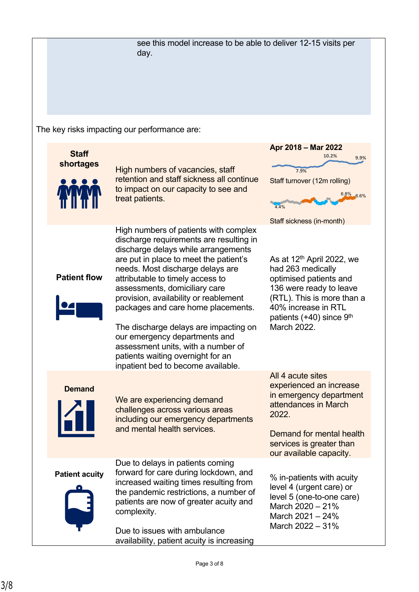see this model increase to be able to deliver 12-15 visits per day.

The key risks impacting our performance are:

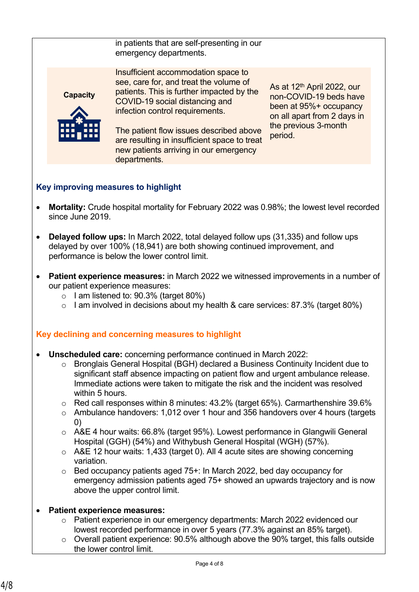| in patients that are self-presenting in our |
|---------------------------------------------|
| emergency departments.                      |

**Capacity**



Insufficient accommodation space to see, care for, and treat the volume of patients. This is further impacted by the COVID-19 social distancing and infection control requirements.

The patient flow issues described above are resulting in insufficient space to treat new patients arriving in our emergency departments.

As at 12th April 2022, our non-COVID-19 beds have been at 95%+ occupancy on all apart from 2 days in the previous 3-month period.

## **Key improving measures to highlight**

- **Mortality:** Crude hospital mortality for February 2022 was 0.98%; the lowest level recorded since June 2019.
- **Delayed follow ups:** In March 2022, total delayed follow ups (31,335) and follow ups delayed by over 100% (18,941) are both showing continued improvement, and performance is below the lower control limit.
- **Patient experience measures:** in March 2022 we witnessed improvements in a number of our patient experience measures:
	- $\circ$  I am listened to: 90.3% (target 80%)
	- $\circ$  I am involved in decisions about my health & care services: 87.3% (target 80%)

#### **Key declining and concerning measures to highlight**

- **Unscheduled care:** concerning performance continued in March 2022:
	- o Bronglais General Hospital (BGH) declared a Business Continuity Incident due to significant staff absence impacting on patient flow and urgent ambulance release. Immediate actions were taken to mitigate the risk and the incident was resolved within 5 hours.
	- o Red call responses within 8 minutes: 43.2% (target 65%). Carmarthenshire 39.6%
	- o Ambulance handovers: 1,012 over 1 hour and 356 handovers over 4 hours (targets 0)
	- o A&E 4 hour waits: 66.8% (target 95%). Lowest performance in Glangwili General Hospital (GGH) (54%) and Withybush General Hospital (WGH) (57%).
	- o A&E 12 hour waits: 1,433 (target 0). All 4 acute sites are showing concerning variation.
	- o Bed occupancy patients aged 75+: In March 2022, bed day occupancy for emergency admission patients aged 75+ showed an upwards trajectory and is now above the upper control limit.

#### • **Patient experience measures:**

- o Patient experience in our emergency departments: March 2022 evidenced our lowest recorded performance in over 5 years (77.3% against an 85% target).
- o Overall patient experience: 90.5% although above the 90% target, this falls outside the lower control limit.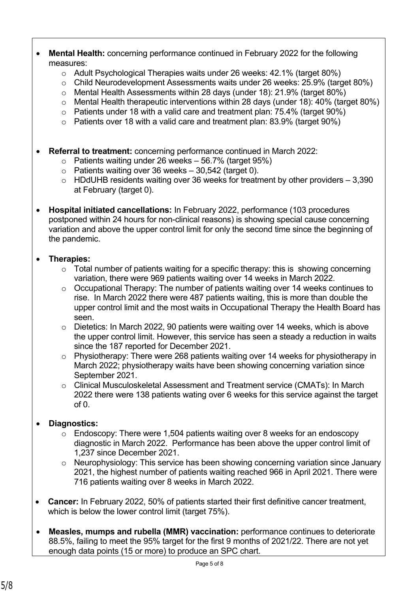- **Mental Health:** concerning performance continued in February 2022 for the following measures:
	- o Adult Psychological Therapies waits under 26 weeks: 42.1% (target 80%)
	- o Child Neurodevelopment Assessments waits under 26 weeks: 25.9% (target 80%)
	- o Mental Health Assessments within 28 days (under 18): 21.9% (target 80%)
	- o Mental Health therapeutic interventions within 28 days (under 18): 40% (target 80%)
	- $\circ$  Patients under 18 with a valid care and treatment plan: 75.4% (target 90%)
	- $\circ$  Patients over 18 with a valid care and treatment plan: 83.9% (target 90%)
- **Referral to treatment:** concerning performance continued in March 2022:
	- $\circ$  Patients waiting under 26 weeks 56.7% (target 95%)
	- $\circ$  Patients waiting over 36 weeks 30,542 (target 0).
	- $\circ$  HDdUHB residents waiting over 36 weeks for treatment by other providers 3,390 at February (target 0).
- **Hospital initiated cancellations:** In February 2022, performance (103 procedures postponed within 24 hours for non-clinical reasons) is showing special cause concerning variation and above the upper control limit for only the second time since the beginning of the pandemic.

### • **Therapies:**

- $\circ$  Total number of patients waiting for a specific therapy: this is showing concerning variation, there were 969 patients waiting over 14 weeks in March 2022.
- o Occupational Therapy: The number of patients waiting over 14 weeks continues to rise. In March 2022 there were 487 patients waiting, this is more than double the upper control limit and the most waits in Occupational Therapy the Health Board has seen.
- o Dietetics: In March 2022, 90 patients were waiting over 14 weeks, which is above the upper control limit. However, this service has seen a steady a reduction in waits since the 187 reported for December 2021.
- o Physiotherapy: There were 268 patients waiting over 14 weeks for physiotherapy in March 2022; physiotherapy waits have been showing concerning variation since September 2021.
- o Clinical Musculoskeletal Assessment and Treatment service (CMATs): In March 2022 there were 138 patients wating over 6 weeks for this service against the target  $of  $0$$

## • **Diagnostics:**

- o Endoscopy: There were 1,504 patients waiting over 8 weeks for an endoscopy diagnostic in March 2022. Performance has been above the upper control limit of 1,237 since December 2021.
- o Neurophysiology: This service has been showing concerning variation since January 2021, the highest number of patients waiting reached 966 in April 2021. There were 716 patients waiting over 8 weeks in March 2022.
- **Cancer:** In February 2022, 50% of patients started their first definitive cancer treatment, which is below the lower control limit (target 75%).
- **Measles, mumps and rubella (MMR) vaccination:** performance continues to deteriorate 88.5%, failing to meet the 95% target for the first 9 months of 2021/22. There are not yet enough data points (15 or more) to produce an SPC chart.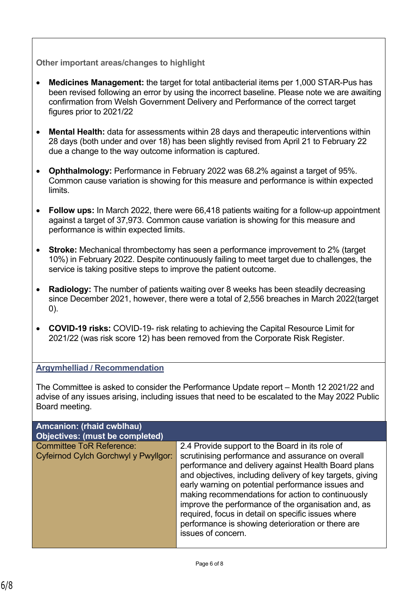#### **Other important areas/changes to highlight**

- **Medicines Management:** the target for total antibacterial items per 1,000 STAR-Pus has been revised following an error by using the incorrect baseline. Please note we are awaiting confirmation from Welsh Government Delivery and Performance of the correct target figures prior to 2021/22
- **Mental Health:** data for assessments within 28 days and therapeutic interventions within 28 days (both under and over 18) has been slightly revised from April 21 to February 22 due a change to the way outcome information is captured.
- **Ophthalmology:** Performance in February 2022 was 68.2% against a target of 95%. Common cause variation is showing for this measure and performance is within expected limits.
- **Follow ups:** In March 2022, there were 66,418 patients waiting for a follow-up appointment against a target of 37,973. Common cause variation is showing for this measure and performance is within expected limits.
- **Stroke:** Mechanical thrombectomy has seen a performance improvement to 2% (target 10%) in February 2022. Despite continuously failing to meet target due to challenges, the service is taking positive steps to improve the patient outcome.
- **Radiology:** The number of patients waiting over 8 weeks has been steadily decreasing since December 2021, however, there were a total of 2,556 breaches in March 2022(target 0).
- **COVID-19 risks:** COVID-19- risk relating to achieving the Capital Resource Limit for 2021/22 (was risk score 12) has been removed from the Corporate Risk Register.

#### **Argymhelliad / Recommendation**

The Committee is asked to consider the Performance Update report – Month 12 2021/22 and advise of any issues arising, including issues that need to be escalated to the May 2022 Public Board meeting.

| <b>Amcanion: (rhaid cwblhau)</b><br>Objectives: (must be completed)     |                                                                                                                                                                                                                                                                                                                                                                                                                                                                                                                            |
|-------------------------------------------------------------------------|----------------------------------------------------------------------------------------------------------------------------------------------------------------------------------------------------------------------------------------------------------------------------------------------------------------------------------------------------------------------------------------------------------------------------------------------------------------------------------------------------------------------------|
| <b>Committee ToR Reference:</b><br>Cyfeirnod Cylch Gorchwyl y Pwyllgor: | 2.4 Provide support to the Board in its role of<br>scrutinising performance and assurance on overall<br>performance and delivery against Health Board plans<br>and objectives, including delivery of key targets, giving<br>early warning on potential performance issues and<br>making recommendations for action to continuously<br>improve the performance of the organisation and, as<br>required, focus in detail on specific issues where<br>performance is showing deterioration or there are<br>issues of concern. |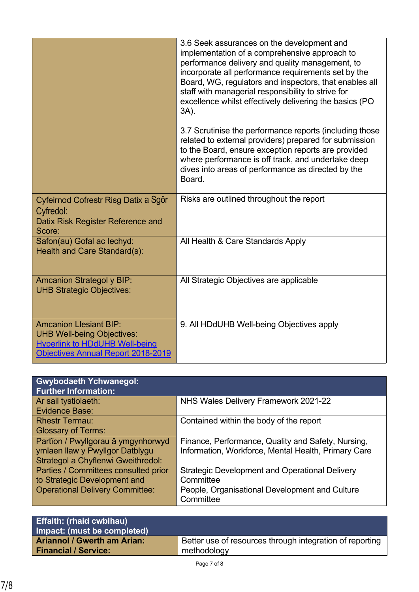|                                                                                                                                                   | 3.6 Seek assurances on the development and<br>implementation of a comprehensive approach to<br>performance delivery and quality management, to<br>incorporate all performance requirements set by the<br>Board, WG, regulators and inspectors, that enables all<br>staff with managerial responsibility to strive for<br>excellence whilst effectively delivering the basics (PO<br>3A). |
|---------------------------------------------------------------------------------------------------------------------------------------------------|------------------------------------------------------------------------------------------------------------------------------------------------------------------------------------------------------------------------------------------------------------------------------------------------------------------------------------------------------------------------------------------|
|                                                                                                                                                   | 3.7 Scrutinise the performance reports (including those<br>related to external providers) prepared for submission<br>to the Board, ensure exception reports are provided<br>where performance is off track, and undertake deep<br>dives into areas of performance as directed by the<br>Board.                                                                                           |
| Cyfeirnod Cofrestr Risg Datix a Sgôr<br>Cyfredol:<br>Datix Risk Register Reference and<br>Score:                                                  | Risks are outlined throughout the report                                                                                                                                                                                                                                                                                                                                                 |
| Safon(au) Gofal ac lechyd:<br>Health and Care Standard(s):                                                                                        | All Health & Care Standards Apply                                                                                                                                                                                                                                                                                                                                                        |
| <b>Amcanion Strategol y BIP:</b><br><b>UHB Strategic Objectives:</b>                                                                              | All Strategic Objectives are applicable                                                                                                                                                                                                                                                                                                                                                  |
| <b>Amcanion Llesiant BIP:</b><br><b>UHB Well-being Objectives:</b><br><b>Hyperlink to HDdUHB Well-being</b><br>Objectives Annual Report 2018-2019 | 9. All HDdUHB Well-being Objectives apply                                                                                                                                                                                                                                                                                                                                                |

| <b>Gwybodaeth Ychwanegol:</b><br><b>Further Information:</b> |                                                       |
|--------------------------------------------------------------|-------------------------------------------------------|
| Ar sail tystiolaeth:                                         | NHS Wales Delivery Framework 2021-22                  |
| <b>Evidence Base:</b>                                        |                                                       |
| <b>Rhestr Termau:</b>                                        | Contained within the body of the report               |
| <b>Glossary of Terms:</b>                                    |                                                       |
| Partïon / Pwyllgorau â ymgynhorwyd                           | Finance, Performance, Quality and Safety, Nursing,    |
| ymlaen llaw y Pwyllgor Datblygu                              | Information, Workforce, Mental Health, Primary Care   |
| <b>Strategol a Chyflenwi Gweithredol:</b>                    |                                                       |
| Parties / Committees consulted prior                         | <b>Strategic Development and Operational Delivery</b> |
| to Strategic Development and                                 | Committee                                             |
| <b>Operational Delivery Committee:</b>                       | People, Organisational Development and Culture        |
|                                                              | Committee                                             |

| Better use of resources through integration of reporting<br><b>Ariannol / Gwerth am Arian:</b> | <b>Effaith: (rhaid cwblhau)</b><br>Impact: (must be completed) |             |
|------------------------------------------------------------------------------------------------|----------------------------------------------------------------|-------------|
|                                                                                                | <b>Financial / Service:</b>                                    | methodology |